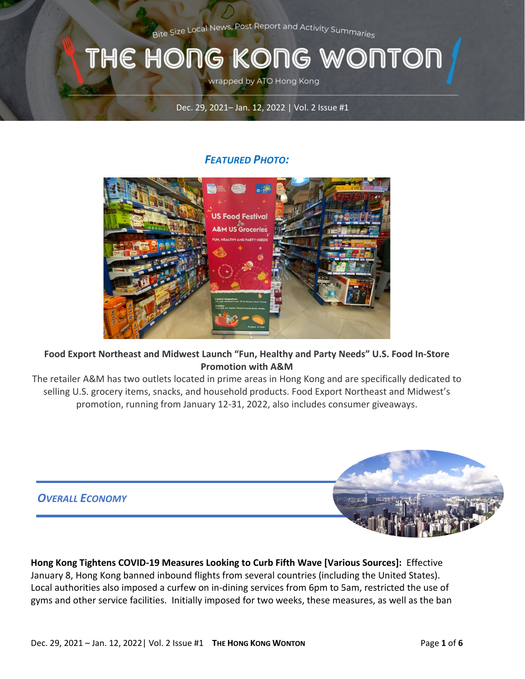Bite Size Local News, Post Report and Activity Summaries

# THE HONG KONG WONTON

wrapped by ATO Hong Kong

Dec. 29, 2021– Jan. 12, 2022 | Vol. 2 Issue #1

#### *FEATURED PHOTO:*



#### **Food Export Northeast and Midwest Launch "Fun, Healthy and Party Needs" U.S. Food In-Store Promotion with A&M**

The retailer A&M has two outlets located in prime areas in Hong Kong and are specifically dedicated to selling U.S. grocery items, snacks, and household products. Food Export Northeast and Midwest's promotion, running from January 12-31, 2022, also includes consumer giveaways.



**Hong Kong Tightens COVID-19 Measures Looking to Curb Fifth Wave [Various Sources]:** Effective January 8, Hong Kong banned inbound flights from several countries (including the United States). Local authorities also imposed a curfew on in-dining services from 6pm to 5am, restricted the use of gyms and other service facilities. Initially imposed for two weeks, these measures, as well as the ban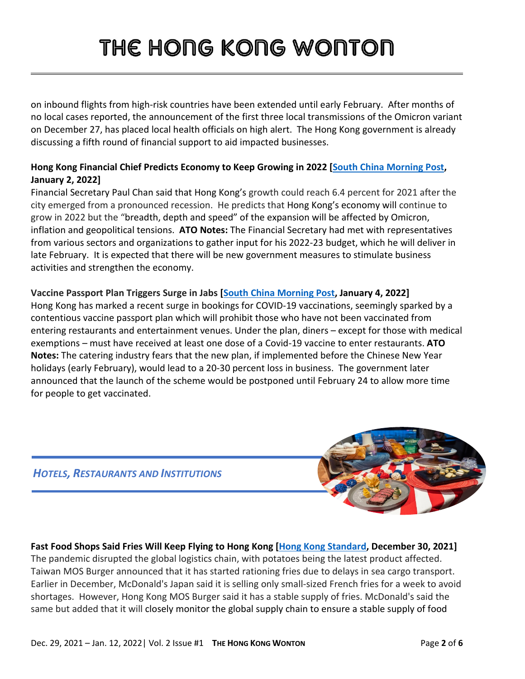on inbound flights from high-risk countries have been extended until early February. After months of no local cases reported, the announcement of the first three local transmissions of the Omicron variant on December 27, has placed local health officials on high alert. The Hong Kong government is already discussing a fifth round of financial support to aid impacted businesses.

#### **Hong Kong Financial Chief Predicts Economy to Keep Growing in 2022 [\[South China Morning Post,](https://gcc02.safelinks.protection.outlook.com/?url=https%3A%2F%2Fwww.scmp.com%2Fnews%2Fhong-kong%2Fhong-kong-economy%2Farticle%2F3161860%2Fhong-kong-economy-keep-growing-2022-financial&data=04%7C01%7CLiC%40state.gov%7Cf7839c07417d4d98ba0308d9d0ef2708%7C66cf50745afe48d1a691a12b2121f44b%7C0%7C0%7C637770547832595307%7CUnknown%7CTWFpbGZsb3d8eyJWIjoiMC4wLjAwMDAiLCJQIjoiV2luMzIiLCJBTiI6Ik1haWwiLCJXVCI6Mn0%3D%7C3000&sdata=BKUKq7fCh%2BqUh0FFhAS5vRQQIDrHQZKA1WD29ZufEsk%3D&reserved=0) January 2, 2022]**

Financial Secretary Paul Chan said that Hong Kong's growth could reach 6.4 percent for 2021 after the city emerged from a pronounced recession. He predicts that Hong Kong's economy will continue to grow in 2022 but the "breadth, depth and speed" of the expansion will be affected by Omicron, inflation and geopolitical tensions. **ATO Notes:** The Financial Secretary had met with representatives from various sectors and organizations to gather input for his 2022-23 budget, which he will deliver in late February. It is expected that there will be new government measures to stimulate business activities and strengthen the economy.

#### **Vaccine Passport Plan Triggers Surge in Jabs [\[South China Morning Post,](https://gcc02.safelinks.protection.outlook.com/?url=https%3A%2F%2Fwww.scmp.com%2Fnews%2Fhong-kong%2Farticle%2F3161996%2Fcoronavirus-hong-kong-recording-recent-surge-jabs-looming-vaccine&data=04%7C01%7CLeungAY%40state.gov%7C7358c65421ad491a191f08d9d0b78ce8%7C66cf50745afe48d1a691a12b2121f44b%7C0%7C0%7C637770309035832105%7CUnknown%7CTWFpbGZsb3d8eyJWIjoiMC4wLjAwMDAiLCJQIjoiV2luMzIiLCJBTiI6Ik1haWwiLCJXVCI6Mn0%3D%7C3000&sdata=mMThIz6%2FbMVcStkFu7bVx%2BcIhK5U1lihleWxqv7NrGo%3D&reserved=0) January 4, 2022]**

Hong Kong has marked a recent surge in bookings for COVID-19 vaccinations, seemingly sparked by a contentious vaccine passport plan which will prohibit those who have not been vaccinated from entering restaurants and entertainment venues. Under the plan, diners – except for those with medical exemptions – must have received at least one dose of a Covid-19 vaccine to enter restaurants. **ATO Notes:** The catering industry fears that the new plan, if implemented before the Chinese New Year holidays (early February), would lead to a 20-30 percent loss in business. The government later announced that the launch of the scheme would be postponed until February 24 to allow more time for people to get vaccinated.

*HOTELS, RESTAURANTS AND INSTITUTIONS*



### **Fast Food Shops Said Fries Will Keep Flying to Hong Kong [\[Hong Kong Standard,](https://gcc02.safelinks.protection.outlook.com/?url=https%3A%2F%2Fwww.thestandard.com.hk%2Fbreaking-news%2Fsection%2F4%2F185306%2FFries-will-keep-flying-to-Hong-Kong%3A-fast-food-shops-&data=04%7C01%7CLiC%40state.gov%7Cf7839c07417d4d98ba0308d9d0ef2708%7C66cf50745afe48d1a691a12b2121f44b%7C0%7C0%7C637770547832595307%7CUnknown%7CTWFpbGZsb3d8eyJWIjoiMC4wLjAwMDAiLCJQIjoiV2luMzIiLCJBTiI6Ik1haWwiLCJXVCI6Mn0%3D%7C3000&sdata=iuxsoOD7NVEOLAMLyvoDhx%2BlwN8mxpgkwH51r1%2BllXg%3D&reserved=0) December 30, 2021]**

The pandemic disrupted the global logistics chain, with potatoes being the latest product affected. Taiwan MOS Burger announced that it has started rationing fries due to delays in sea cargo transport. Earlier in December, McDonald's Japan said it is selling only small-sized French fries for a week to avoid shortages. However, Hong Kong MOS Burger said it has a stable supply of fries. McDonald's said the same but added that it will closely monitor the global supply chain to ensure a stable supply of food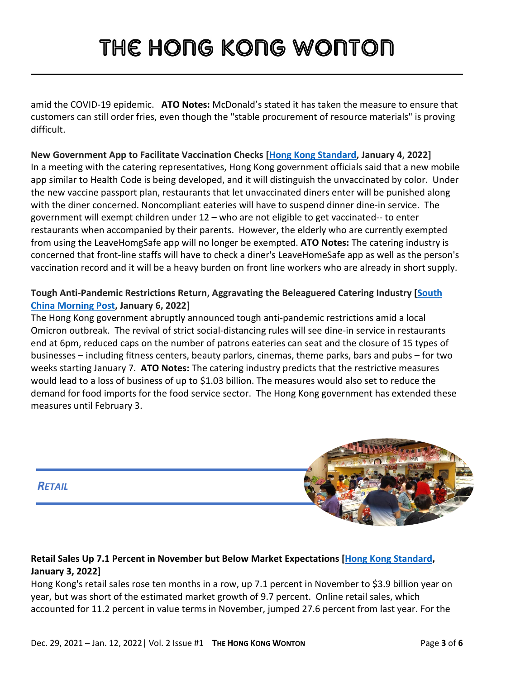amid the COVID-19 epidemic. **ATO Notes:** McDonald's stated it has taken the measure to ensure that customers can still order fries, even though the "stable procurement of resource materials" is proving difficult.

**New Government App to Facilitate Vaccination Checks [\[Hong Kong Standard,](https://gcc02.safelinks.protection.outlook.com/?url=https%3A%2F%2Fwww.thestandard.com.hk%2Fbreaking-news%2Fsection%2F4%2F185475%2FNew-gov-app-in-the-works-for-restaurants-to-check-diners%27-vaccination-records%3A-caterer&data=04%7C01%7CLiC%40state.gov%7Cf7839c07417d4d98ba0308d9d0ef2708%7C66cf50745afe48d1a691a12b2121f44b%7C0%7C0%7C637770547832595307%7CUnknown%7CTWFpbGZsb3d8eyJWIjoiMC4wLjAwMDAiLCJQIjoiV2luMzIiLCJBTiI6Ik1haWwiLCJXVCI6Mn0%3D%7C3000&sdata=tylPbjh9ISlNYXlodvhQhDhbzOE9WjivHln0m%2BqdZP4%3D&reserved=0) January 4, 2022]**  In a meeting with the catering representatives, Hong Kong government officials said that a new mobile app similar to Health Code is being developed, and it will distinguish the unvaccinated by color. Under the new vaccine passport plan, restaurants that let unvaccinated diners enter will be punished along with the diner concerned. Noncompliant eateries will have to suspend dinner dine-in service. The government will exempt children under 12 – who are not eligible to get vaccinated-- to enter restaurants when accompanied by their parents. However, the elderly who are currently exempted from using the LeaveHomgSafe app will no longer be exempted. **ATO Notes:** The catering industry is concerned that front-line staffs will have to check a diner's LeaveHomeSafe app as well as the person's vaccination record and it will be a heavy burden on front line workers who are already in short supply.

#### **Tough Anti-Pandemic Restrictions Return, Aggravating the Beleaguered Catering Industry [\[South](https://gcc02.safelinks.protection.outlook.com/?url=https%3A%2F%2Fwww.scmp.com%2Fnews%2Fhong-kong%2Fhealth-environment%2Farticle%2F3162276%2Feverything-will-go-back-zero-hong-kong-businesses&data=04%7C01%7CLiC%40state.gov%7Cf7839c07417d4d98ba0308d9d0ef2708%7C66cf50745afe48d1a691a12b2121f44b%7C0%7C0%7C637770547832595307%7CUnknown%7CTWFpbGZsb3d8eyJWIjoiMC4wLjAwMDAiLCJQIjoiV2luMzIiLCJBTiI6Ik1haWwiLCJXVCI6Mn0%3D%7C3000&sdata=8GpDe0P3w%2FUBYkqp3TQCGECDu1GRw6Ua7%2FSgMuMj6Po%3D&reserved=0)  [China Morning Post,](https://gcc02.safelinks.protection.outlook.com/?url=https%3A%2F%2Fwww.scmp.com%2Fnews%2Fhong-kong%2Fhealth-environment%2Farticle%2F3162276%2Feverything-will-go-back-zero-hong-kong-businesses&data=04%7C01%7CLiC%40state.gov%7Cf7839c07417d4d98ba0308d9d0ef2708%7C66cf50745afe48d1a691a12b2121f44b%7C0%7C0%7C637770547832595307%7CUnknown%7CTWFpbGZsb3d8eyJWIjoiMC4wLjAwMDAiLCJQIjoiV2luMzIiLCJBTiI6Ik1haWwiLCJXVCI6Mn0%3D%7C3000&sdata=8GpDe0P3w%2FUBYkqp3TQCGECDu1GRw6Ua7%2FSgMuMj6Po%3D&reserved=0) January 6, 2022]**

The Hong Kong government abruptly announced tough anti-pandemic restrictions amid a local Omicron outbreak. The revival of strict social-distancing rules will see dine-in service in restaurants end at 6pm, reduced caps on the number of patrons eateries can seat and the closure of 15 types of businesses – including fitness centers, beauty parlors, cinemas, theme parks, bars and pubs – for two weeks starting January 7. **ATO Notes:** The catering industry predicts that the restrictive measures would lead to a loss of business of up to \$1.03 billion. The measures would also set to reduce the demand for food imports for the food service sector. The Hong Kong government has extended these measures until February 3.





#### **Retail Sales Up 7.1 Percent in November but Below Market Expectations [\[Hong Kong Standard,](https://gcc02.safelinks.protection.outlook.com/?url=https%3A%2F%2Fwww.thestandard.com.hk%2Fbreaking-news%2Fsection%2F2%2F185450%2FRetail-sales-up-7.1-percent-in-November%2C-missing-market-expectation&data=04%7C01%7CLeungAY%40state.gov%7C7358c65421ad491a191f08d9d0b78ce8%7C66cf50745afe48d1a691a12b2121f44b%7C0%7C0%7C637770309035832105%7CUnknown%7CTWFpbGZsb3d8eyJWIjoiMC4wLjAwMDAiLCJQIjoiV2luMzIiLCJBTiI6Ik1haWwiLCJXVCI6Mn0%3D%7C3000&sdata=Tg87wUKCng5LpIadgY7y5aJ1DZCPSyZW50ydQCgpbh0%3D&reserved=0) January 3, 2022]**

Hong Kong's retail sales rose ten months in a row, up 7.1 percent in November to \$3.9 billion year on year, but was short of the estimated market growth of 9.7 percent. Online retail sales, which accounted for 11.2 percent in value terms in November, jumped 27.6 percent from last year. For the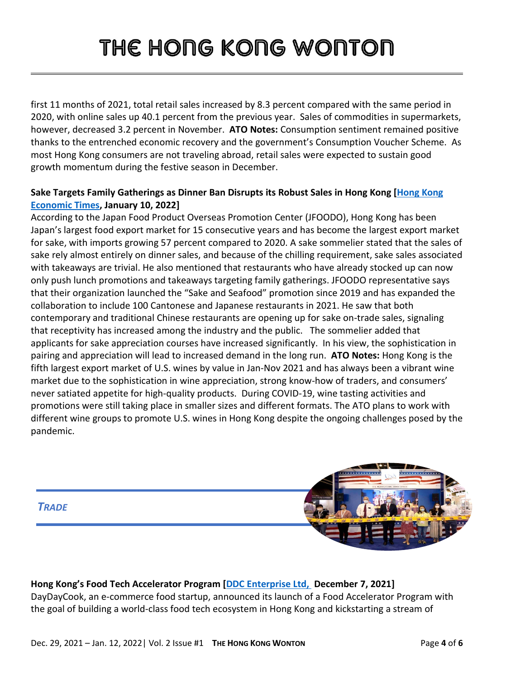first 11 months of 2021, total retail sales increased by 8.3 percent compared with the same period in 2020, with online sales up 40.1 percent from the previous year. Sales of commodities in supermarkets, however, decreased 3.2 percent in November. **ATO Notes:** Consumption sentiment remained positive thanks to the entrenched economic recovery and the government's Consumption Voucher Scheme. As most Hong Kong consumers are not traveling abroad, retail sales were expected to sustain good growth momentum during the festive season in December.

#### **Sake Targets Family Gatherings as Dinner Ban Disrupts its Robust Sales in Hong Kong [\[Hong Kong](https://inews.hket.com/article/3151043/%E3%80%90%E6%99%9A%E5%B8%82%E7%A6%81%E5%A0%82%E9%A3%9F%E3%80%91%E6%B8%85%E9%85%92%E9%9C%80%E9%9B%AA%E8%97%8F%E9%9B%A3%E5%81%9A%E5%A4%96%E8%B3%A3%E7%94%9F%E6%84%8F%E3%80%80%E9%A4%90%E5%BB%B3%E6%B8%85%E9%85%92%E7%94%9F%E6%84%8F%E9%A1%8D%E5%B9%BE%E4%B9%8E%E8%B7%8C%E8%87%B3%E9%9B%B6)  [Economic Times,](https://inews.hket.com/article/3151043/%E3%80%90%E6%99%9A%E5%B8%82%E7%A6%81%E5%A0%82%E9%A3%9F%E3%80%91%E6%B8%85%E9%85%92%E9%9C%80%E9%9B%AA%E8%97%8F%E9%9B%A3%E5%81%9A%E5%A4%96%E8%B3%A3%E7%94%9F%E6%84%8F%E3%80%80%E9%A4%90%E5%BB%B3%E6%B8%85%E9%85%92%E7%94%9F%E6%84%8F%E9%A1%8D%E5%B9%BE%E4%B9%8E%E8%B7%8C%E8%87%B3%E9%9B%B6) January 10, 2022]**

According to the Japan Food Product Overseas Promotion Center (JFOODO), Hong Kong has been Japan's largest food export market for 15 consecutive years and has become the largest export market for sake, with imports growing 57 percent compared to 2020. A sake sommelier stated that the sales of sake rely almost entirely on dinner sales, and because of the chilling requirement, sake sales associated with takeaways are trivial. He also mentioned that restaurants who have already stocked up can now only push lunch promotions and takeaways targeting family gatherings. JFOODO representative says that their organization launched the "Sake and Seafood" promotion since 2019 and has expanded the collaboration to include 100 Cantonese and Japanese restaurants in 2021. He saw that both contemporary and traditional Chinese restaurants are opening up for sake on-trade sales, signaling that receptivity has increased among the industry and the public. The sommelier added that applicants for sake appreciation courses have increased significantly. In his view, the sophistication in pairing and appreciation will lead to increased demand in the long run. **ATO Notes:** Hong Kong is the fifth largest export market of U.S. wines by value in Jan-Nov 2021 and has always been a vibrant wine market due to the sophistication in wine appreciation, strong know-how of traders, and consumers' never satiated appetite for high-quality products. During COVID-19, wine tasting activities and promotions were still taking place in smaller sizes and different formats. The ATO plans to work with different wine groups to promote U.S. wines in Hong Kong despite the ongoing challenges posed by the pandemic.



#### **Hong Kong's Food Tech Accelerator Program [\[DDC Enterprise Ltd,](https://www.yahoo.com/now/daydaycook-launches-food-tech-accelerator-133000875.html) December 7, 2021]** DayDayCook, an e-commerce food startup, announced its launch of a Food Accelerator Program with the goal of building a world-class food tech ecosystem in Hong Kong and kickstarting a stream of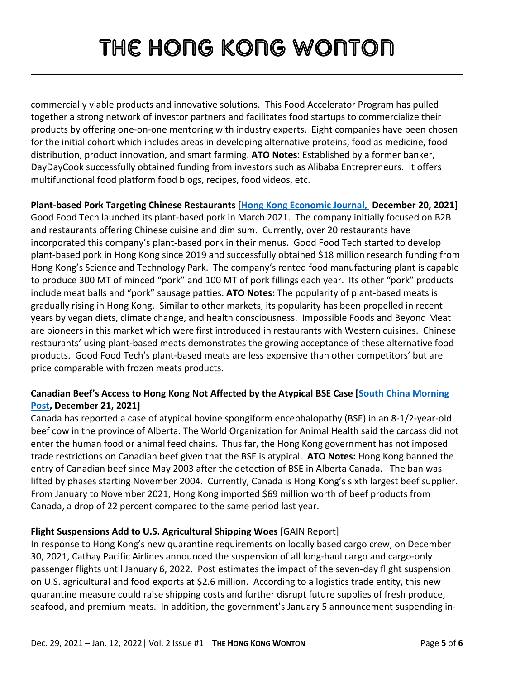commercially viable products and innovative solutions. This Food Accelerator Program has pulled together a strong network of investor partners and facilitates food startups to commercialize their products by offering one-on-one mentoring with industry experts. Eight companies have been chosen for the initial cohort which includes areas in developing alternative proteins, food as medicine, food distribution, product innovation, and smart farming. **ATO Notes**: Established by a former banker, DayDayCook successfully obtained funding from investors such as Alibaba Entrepreneurs. It offers multifunctional food platform food blogs, recipes, food videos, etc.

**Plant-based Pork Targeting Chinese Restaurants [\[Hong Kong Economic Journal,](https://www1.hkej.com/dailynews/finnews/article/2997212/%E6%B8%AF%E7%94%A2%E6%A4%8D%E7%89%A9%E8%B1%AC%E8%82%89+%E4%B8%BB%E6%94%BB%E4%B8%AD%E5%BC%8F%E9%A4%90%E9%A3%B2) December 20, 2021]** Good Food Tech launched its plant-based pork in March 2021. The company initially focused on B2B and restaurants offering Chinese cuisine and dim sum. Currently, over 20 restaurants have incorporated this company's plant-based pork in their menus. Good Food Tech started to develop plant-based pork in Hong Kong since 2019 and successfully obtained \$18 million research funding from Hong Kong's Science and Technology Park. The company's rented food manufacturing plant is capable to produce 300 MT of minced "pork" and 100 MT of pork fillings each year. Its other "pork" products include meat balls and "pork" sausage patties. **ATO Notes:** The popularity of plant-based meats is gradually rising in Hong Kong. Similar to other markets, its popularity has been propelled in recent years by vegan diets, climate change, and health consciousness. Impossible Foods and Beyond Meat are pioneers in this market which were first introduced in restaurants with Western cuisines. Chinese restaurants' using plant-based meats demonstrates the growing acceptance of these alternative food products. Good Food Tech's plant-based meats are less expensive than other competitors' but are price comparable with frozen meats products.

#### **Canadian Beef's Access to Hong Kong Not Affected by the Atypical BSE Case [\[South China Morning](https://www.scmp.com/news/world/united-states-canada/article/3160483/canada-reports-atypical-case-mad-cow-disease-animal)  [Post,](https://www.scmp.com/news/world/united-states-canada/article/3160483/canada-reports-atypical-case-mad-cow-disease-animal) December 21, 2021]**

Canada has reported a case of atypical bovine spongiform encephalopathy (BSE) in an 8-1/2-year-old beef cow in the province of Alberta. The World Organization for Animal Health said the carcass did not enter the human food or animal feed chains. Thus far, the Hong Kong government has not imposed trade restrictions on Canadian beef given that the BSE is atypical. **ATO Notes:** Hong Kong banned the entry of Canadian beef since May 2003 after the detection of BSE in Alberta Canada. The ban was lifted by phases starting November 2004. Currently, Canada is Hong Kong's sixth largest beef supplier. From January to November 2021, Hong Kong imported \$69 million worth of beef products from Canada, a drop of 22 percent compared to the same period last year.

#### **Flight Suspensions Add to U.S. Agricultural Shipping Woes** [GAIN Report]

In response to Hong Kong's new quarantine requirements on locally based cargo crew, on December 30, 2021, Cathay Pacific Airlines announced the suspension of all long-haul cargo and cargo-only passenger flights until January 6, 2022. Post estimates the impact of the seven-day flight suspension on U.S. agricultural and food exports at \$2.6 million. According to a logistics trade entity, this new quarantine measure could raise shipping costs and further disrupt future supplies of fresh produce, seafood, and premium meats. In addition, the government's January 5 announcement suspending in-